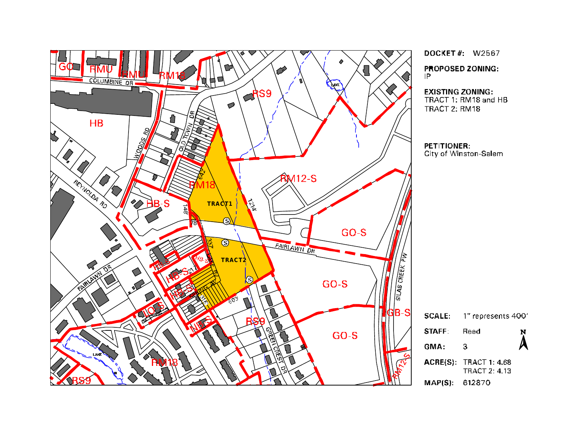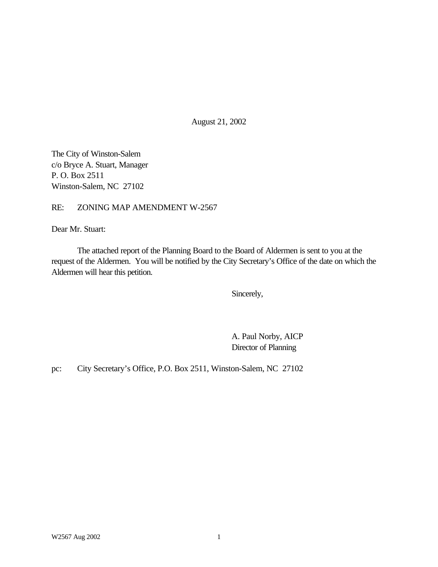August 21, 2002

The City of Winston-Salem c/o Bryce A. Stuart, Manager P. O. Box 2511 Winston-Salem, NC 27102

### RE: ZONING MAP AMENDMENT W-2567

Dear Mr. Stuart:

The attached report of the Planning Board to the Board of Aldermen is sent to you at the request of the Aldermen. You will be notified by the City Secretary's Office of the date on which the Aldermen will hear this petition.

Sincerely,

A. Paul Norby, AICP Director of Planning

pc: City Secretary's Office, P.O. Box 2511, Winston-Salem, NC 27102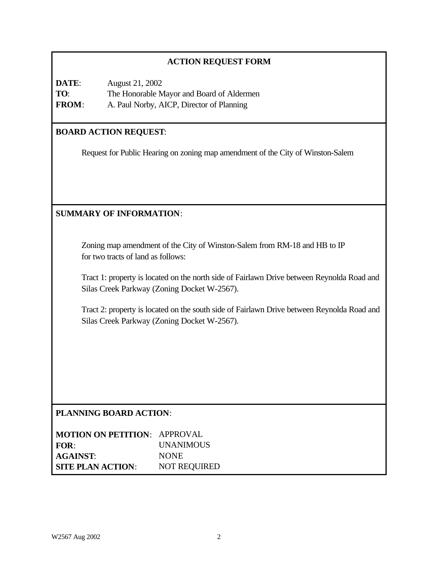# **ACTION REQUEST FORM**

| DATE:        | August 21, 2002                           |
|--------------|-------------------------------------------|
| TO:          | The Honorable Mayor and Board of Aldermen |
| <b>FROM:</b> | A. Paul Norby, AICP, Director of Planning |

# **BOARD ACTION REQUEST**:

Request for Public Hearing on zoning map amendment of the City of Winston-Salem

# **SUMMARY OF INFORMATION**:

Zoning map amendment of the City of Winston-Salem from RM-18 and HB to IP for two tracts of land as follows:

Tract 1: property is located on the north side of Fairlawn Drive between Reynolda Road and Silas Creek Parkway (Zoning Docket W-2567).

Tract 2: property is located on the south side of Fairlawn Drive between Reynolda Road and Silas Creek Parkway (Zoning Docket W-2567).

# **PLANNING BOARD ACTION**:

| <b>MOTION ON PETITION: APPROVAL</b> |                     |
|-------------------------------------|---------------------|
| FOR:                                | <b>UNANIMOUS</b>    |
| <b>AGAINST:</b>                     | <b>NONE</b>         |
| <b>SITE PLAN ACTION:</b>            | <b>NOT REQUIRED</b> |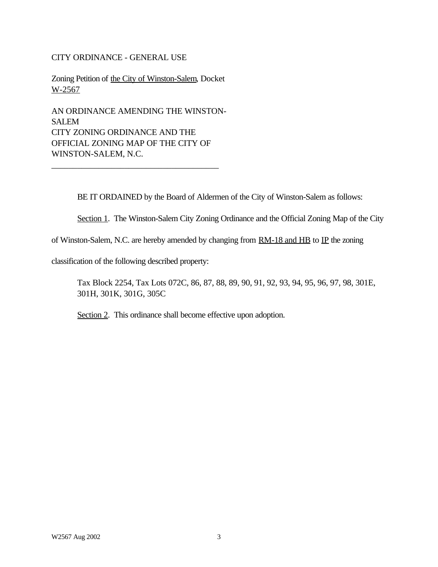### CITY ORDINANCE - GENERAL USE

Zoning Petition of the City of Winston-Salem, Docket W-2567

AN ORDINANCE AMENDING THE WINSTON-SALEM CITY ZONING ORDINANCE AND THE OFFICIAL ZONING MAP OF THE CITY OF WINSTON-SALEM, N.C.

\_\_\_\_\_\_\_\_\_\_\_\_\_\_\_\_\_\_\_\_\_\_\_\_\_\_\_\_\_\_\_\_\_\_\_\_\_\_\_

BE IT ORDAINED by the Board of Aldermen of the City of Winston-Salem as follows:

Section 1. The Winston-Salem City Zoning Ordinance and the Official Zoning Map of the City

of Winston-Salem, N.C. are hereby amended by changing from  $RM-18$  and  $HB$  to  $IP$  the zoning

classification of the following described property:

Tax Block 2254, Tax Lots 072C, 86, 87, 88, 89, 90, 91, 92, 93, 94, 95, 96, 97, 98, 301E, 301H, 301K, 301G, 305C

Section 2. This ordinance shall become effective upon adoption.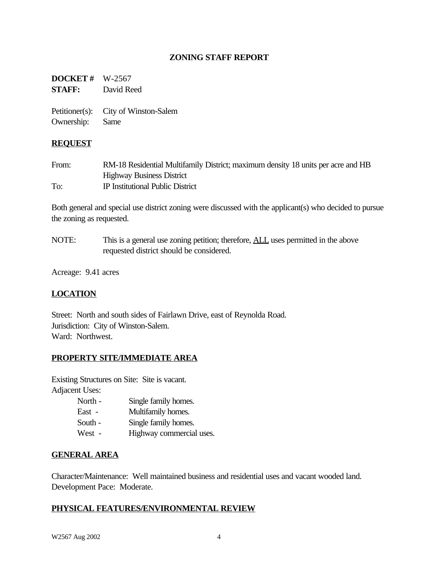## **ZONING STAFF REPORT**

**DOCKET #** W-2567 **STAFF:** David Reed

Petitioner(s): City of Winston-Salem Ownership: Same

#### **REQUEST**

| From: | RM-18 Residential Multifamily District; maximum density 18 units per acre and HB |
|-------|----------------------------------------------------------------------------------|
|       | <b>Highway Business District</b>                                                 |
| To:   | IP Institutional Public District                                                 |

Both general and special use district zoning were discussed with the applicant(s) who decided to pursue the zoning as requested.

NOTE: This is a general use zoning petition; therefore, **ALL** uses permitted in the above requested district should be considered.

Acreage: 9.41 acres

### **LOCATION**

Street: North and south sides of Fairlawn Drive, east of Reynolda Road. Jurisdiction: City of Winston-Salem. Ward: Northwest.

#### **PROPERTY SITE/IMMEDIATE AREA**

Existing Structures on Site: Site is vacant. Adjacent Uses:

> North - Single family homes. East - Multifamily homes. South - Single family homes. West - Highway commercial uses.

### **GENERAL AREA**

Character/Maintenance: Well maintained business and residential uses and vacant wooded land. Development Pace: Moderate.

#### **PHYSICAL FEATURES/ENVIRONMENTAL REVIEW**

W2567 Aug 2002 4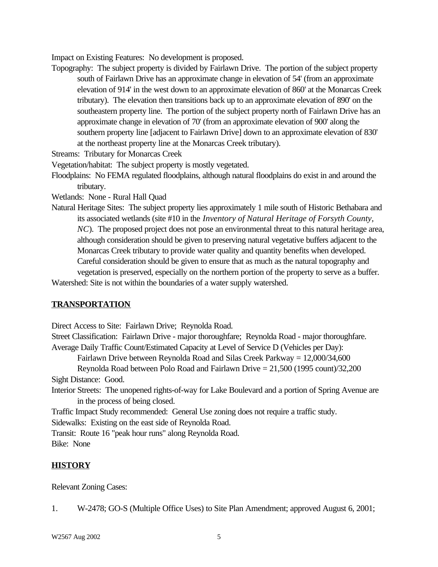Impact on Existing Features: No development is proposed.

Topography: The subject property is divided by Fairlawn Drive. The portion of the subject property south of Fairlawn Drive has an approximate change in elevation of 54' (from an approximate elevation of 914' in the west down to an approximate elevation of 860' at the Monarcas Creek tributary). The elevation then transitions back up to an approximate elevation of 890' on the southeastern property line. The portion of the subject property north of Fairlawn Drive has an approximate change in elevation of 70' (from an approximate elevation of 900' along the southern property line [adjacent to Fairlawn Drive] down to an approximate elevation of 830' at the northeast property line at the Monarcas Creek tributary).

Streams: Tributary for Monarcas Creek

Vegetation/habitat: The subject property is mostly vegetated.

Floodplains: No FEMA regulated floodplains, although natural floodplains do exist in and around the tributary.

Wetlands: None - Rural Hall Quad

Natural Heritage Sites: The subject property lies approximately 1 mile south of Historic Bethabara and its associated wetlands (site #10 in the *Inventory of Natural Heritage of Forsyth County, NC*). The proposed project does not pose an environmental threat to this natural heritage area, although consideration should be given to preserving natural vegetative buffers adjacent to the Monarcas Creek tributary to provide water quality and quantity benefits when developed. Careful consideration should be given to ensure that as much as the natural topography and vegetation is preserved, especially on the northern portion of the property to serve as a buffer.

Watershed: Site is not within the boundaries of a water supply watershed.

### **TRANSPORTATION**

Direct Access to Site: Fairlawn Drive; Reynolda Road.

Street Classification: Fairlawn Drive - major thoroughfare; Reynolda Road - major thoroughfare. Average Daily Traffic Count/Estimated Capacity at Level of Service D (Vehicles per Day):

Fairlawn Drive between Reynolda Road and Silas Creek Parkway = 12,000/34,600

Reynolda Road between Polo Road and Fairlawn Drive = 21,500 (1995 count)/32,200

Sight Distance: Good.

Interior Streets: The unopened rights-of-way for Lake Boulevard and a portion of Spring Avenue are in the process of being closed.

Traffic Impact Study recommended: General Use zoning does not require a traffic study. Sidewalks: Existing on the east side of Reynolda Road.

Transit: Route 16 "peak hour runs" along Reynolda Road. Bike: None

### **HISTORY**

Relevant Zoning Cases:

1. W-2478; GO-S (Multiple Office Uses) to Site Plan Amendment; approved August 6, 2001;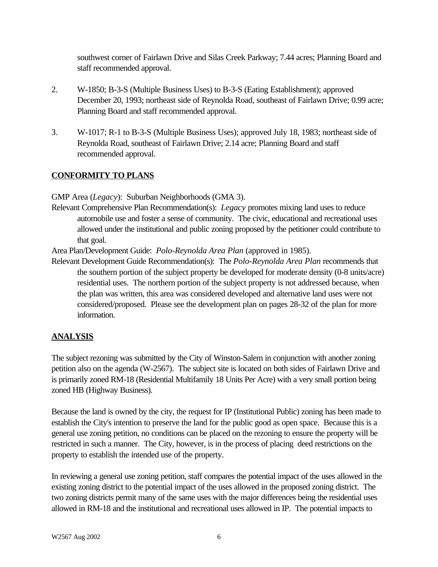southwest corner of Fairlawn Drive and Silas Creek Parkway; 7.44 acres; Planning Board and staff recommended approval.

- 2. W-1850; B-3-S (Multiple Business Uses) to B-3-S (Eating Establishment); approved December 20, 1993; northeast side of Reynolda Road, southeast of Fairlawn Drive; 0.99 acre; Planning Board and staff recommended approval.
- 3. W-1017; R-1 to B-3-S (Multiple Business Uses); approved July 18, 1983; northeast side of Reynolda Road, southeast of Fairlawn Drive; 2.14 acre; Planning Board and staff recommended approval.

# **CONFORMITY TO PLANS**

GMP Area (*Legacy*): Suburban Neighborhoods (GMA 3).

Relevant Comprehensive Plan Recommendation(s): *Legacy* promotes mixing land uses to reduce automobile use and foster a sense of community. The civic, educational and recreational uses allowed under the institutional and public zoning proposed by the petitioner could contribute to that goal.

Area Plan/Development Guide: *Polo-Reynolda Area Plan* (approved in 1985).

Relevant Development Guide Recommendation(s): The *Polo-Reynolda Area Plan* recommends that the southern portion of the subject property be developed for moderate density (0-8 units/acre) residential uses. The northern portion of the subject property is not addressed because, when the plan was written, this area was considered developed and alternative land uses were not considered/proposed. Please see the development plan on pages 28-32 of the plan for more information.

# **ANALYSIS**

The subject rezoning was submitted by the City of Winston-Salem in conjunction with another zoning petition also on the agenda (W-2567). The subject site is located on both sides of Fairlawn Drive and is primarily zoned RM-18 (Residential Multifamily 18 Units Per Acre) with a very small portion being zoned HB (Highway Business).

Because the land is owned by the city, the request for IP (Institutional Public) zoning has been made to establish the City's intention to preserve the land for the public good as open space. Because this is a general use zoning petition, no conditions can be placed on the rezoning to ensure the property will be restricted in such a manner. The City, however, is in the process of placing deed restrictions on the property to establish the intended use of the property.

In reviewing a general use zoning petition, staff compares the potential impact of the uses allowed in the existing zoning district to the potential impact of the uses allowed in the proposed zoning district. The two zoning districts permit many of the same uses with the major differences being the residential uses allowed in RM-18 and the institutional and recreational uses allowed in IP. The potential impacts to